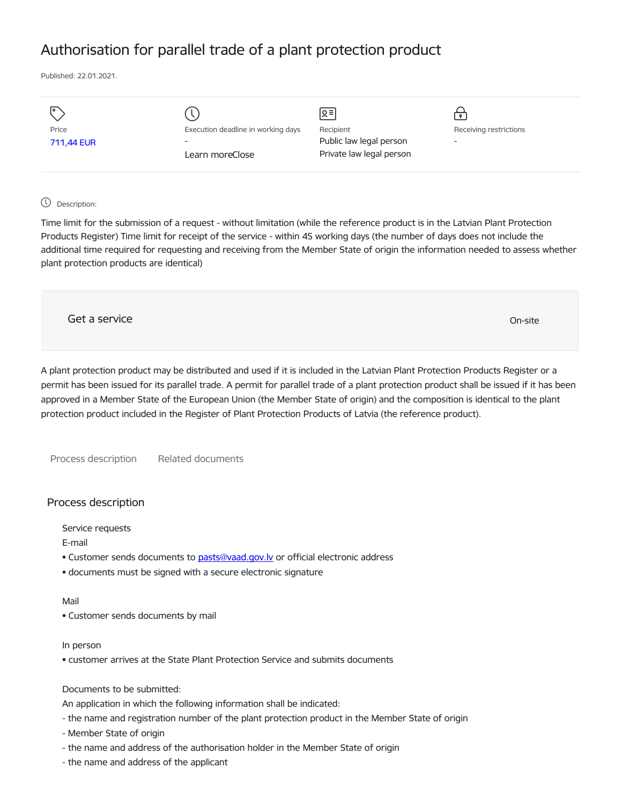# Authorisation for parallel trade of a plant protection product

Published: 22.01.2021.

| I۰         |                                    | Զ≡                       | $\bullet$                |
|------------|------------------------------------|--------------------------|--------------------------|
| Price      | Execution deadline in working days | Recipient                | Receiving restrictions   |
| 711,44 EUR | $\overline{\phantom{a}}$           | Public law legal person  | $\overline{\phantom{a}}$ |
|            | Learn moreClose                    | Private law legal person |                          |
|            |                                    |                          |                          |

## Description:

Time limit for the submission of a request - without limitation (while the reference product is in the Latvian Plant Protection Products Register) Time limit for receipt of the service - within 45 working days (the number of days does not include the additional time required for requesting and receiving from the Member State of origin the information needed to assess whether plant protection products are identical)

Get a service On-site

A plant protection product may be distributed and used if it is included in the Latvian Plant Protection Products Register or a permit has been issued for its parallel trade. A permit for parallel trade of a plant protection product shall be issued if it has been approved in a Member State of the European Union (the Member State of origin) and the composition is identical to the plant protection product included in the Register of Plant Protection Products of Latvia (the reference product).

Process description Related documents

# Process description

Service requests

E-mail

- Customer sends documents to pasts@vaad.gov.ly or official electronic address
- documents must be signed with a secure electronic signature

#### Mail

• Customer sends documents by mail

#### In person

• customer arrives at the State Plant Protection Service and submits documents

## Documents to be submitted:

An application in which the following information shall be indicated:

- the name and registration number of the plant protection product in the Member State of origin
- Member State of origin
- the name and address of the authorisation holder in the Member State of origin
- the name and address of the applicant